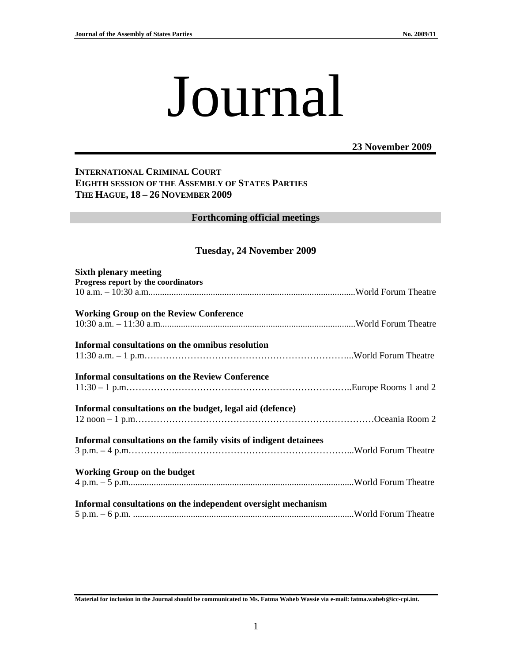# Journal

## **23 November 2009**

## **INTERNATIONAL CRIMINAL COURT EIGHTH SESSION OF THE ASSEMBLY OF STATES PARTIES THE HAGUE, 18 – 26 NOVEMBER 2009**

#### **Forthcoming official meetings**

## **Tuesday, 24 November 2009**

| <b>Sixth plenary meeting</b><br>Progress report by the coordinators |  |
|---------------------------------------------------------------------|--|
|                                                                     |  |
| <b>Working Group on the Review Conference</b>                       |  |
| Informal consultations on the omnibus resolution                    |  |
| <b>Informal consultations on the Review Conference</b>              |  |
| Informal consultations on the budget, legal aid (defence)           |  |
| Informal consultations on the family visits of indigent detainees   |  |
| <b>Working Group on the budget</b>                                  |  |
| Informal consultations on the independent oversight mechanism       |  |

**Material for inclusion in the Journal should be communicated to Ms. Fatma Waheb Wassie via e-mail: fatma.waheb@icc-cpi.int.**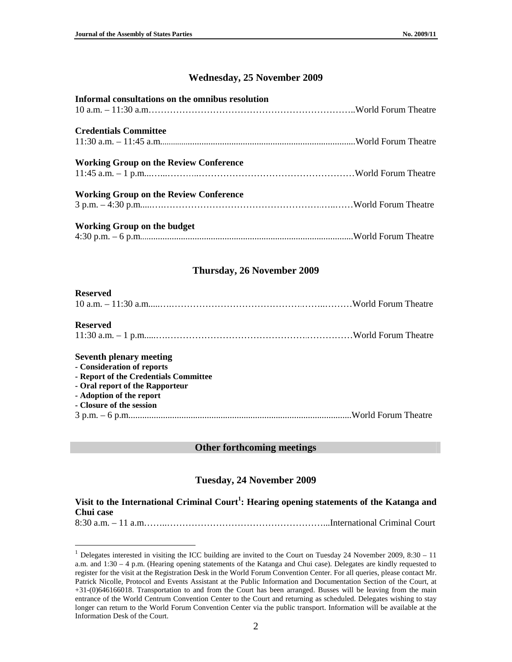## **Wednesday, 25 November 2009**

| Informal consultations on the omnibus resolution |  |
|--------------------------------------------------|--|
| <b>Credentials Committee</b>                     |  |
| <b>Working Group on the Review Conference</b>    |  |
| <b>Working Group on the Review Conference</b>    |  |
| <b>Working Group on the budget</b>               |  |

## **Thursday, 26 November 2009**

#### **Reserved**

#### **Reserved**

 $\overline{a}$ 

|--|--|

#### **Seventh plenary meeting**

#### **- Consideration of reports**

- **Report of the Credentials Committee**
- **Oral report of the Rapporteur**
- **Adoption of the report**
- **Closure of the session**
- 3 p.m. 6 p.m.................................................................................................World Forum Theatre

#### **Other forthcoming meetings**

## **Tuesday, 24 November 2009**

## **Visit to the International Criminal Court<sup>1</sup> : Hearing opening statements of the Katanga and Chui case**

8:30 a.m. – 11 a.m……..……………………………………………...International Criminal Court

<sup>&</sup>lt;sup>1</sup> Delegates interested in visiting the ICC building are invited to the Court on Tuesday 24 November 2009, 8:30 – 11 a.m. and 1:30 – 4 p.m. (Hearing opening statements of the Katanga and Chui case). Delegates are kindly requested to register for the visit at the Registration Desk in the World Forum Convention Center. For all queries, please contact Mr. Patrick Nicolle, Protocol and Events Assistant at the Public Information and Documentation Section of the Court, at +31-(0)646166018. Transportation to and from the Court has been arranged. Busses will be leaving from the main entrance of the World Centrum Convention Center to the Court and returning as scheduled. Delegates wishing to stay longer can return to the World Forum Convention Center via the public transport. Information will be available at the Information Desk of the Court.